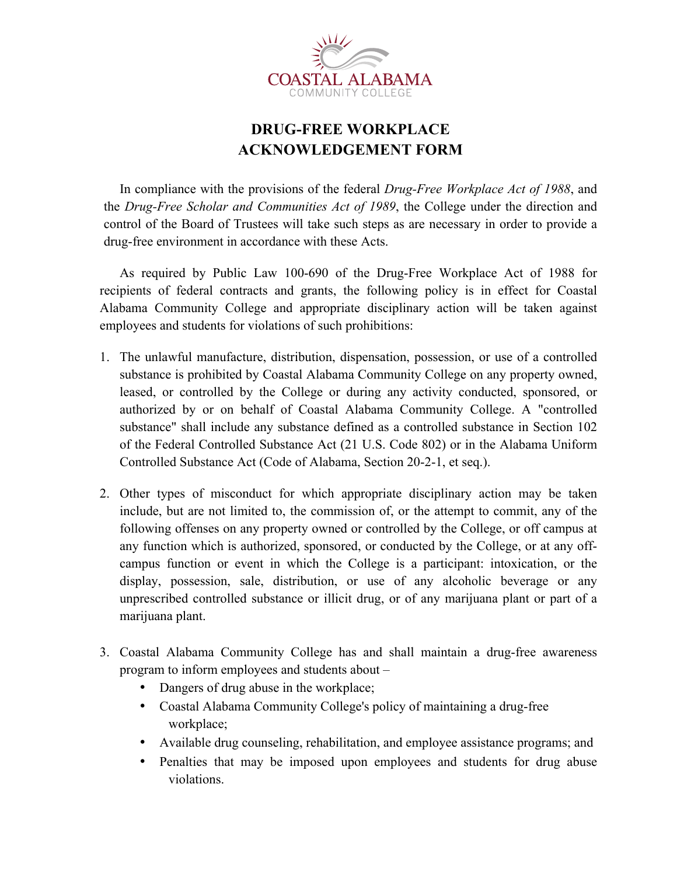

## **DRUG-FREE WORKPLACE ACKNOWLEDGEMENT FORM**

In compliance with the provisions of the federal *Drug-Free Workplace Act of 1988*, and the *Drug-Free Scholar and Communities Act of 1989*, the College under the direction and control of the Board of Trustees will take such steps as are necessary in order to provide a drug-free environment in accordance with these Acts.

As required by Public Law 100-690 of the Drug-Free Workplace Act of 1988 for recipients of federal contracts and grants, the following policy is in effect for Coastal Alabama Community College and appropriate disciplinary action will be taken against employees and students for violations of such prohibitions:

- 1. The unlawful manufacture, distribution, dispensation, possession, or use of a controlled substance is prohibited by Coastal Alabama Community College on any property owned, leased, or controlled by the College or during any activity conducted, sponsored, or authorized by or on behalf of Coastal Alabama Community College. A "controlled substance" shall include any substance defined as a controlled substance in Section 102 of the Federal Controlled Substance Act (21 U.S. Code 802) or in the Alabama Uniform Controlled Substance Act (Code of Alabama, Section 20-2-1, et seq.).
- 2. Other types of misconduct for which appropriate disciplinary action may be taken include, but are not limited to, the commission of, or the attempt to commit, any of the following offenses on any property owned or controlled by the College, or off campus at any function which is authorized, sponsored, or conducted by the College, or at any offcampus function or event in which the College is a participant: intoxication, or the display, possession, sale, distribution, or use of any alcoholic beverage or any unprescribed controlled substance or illicit drug, or of any marijuana plant or part of a marijuana plant.
- 3. Coastal Alabama Community College has and shall maintain a drug-free awareness program to inform employees and students about –
	- Dangers of drug abuse in the workplace;
	- Coastal Alabama Community College's policy of maintaining a drug-free workplace;
	- Available drug counseling, rehabilitation, and employee assistance programs; and
	- Penalties that may be imposed upon employees and students for drug abuse violations.